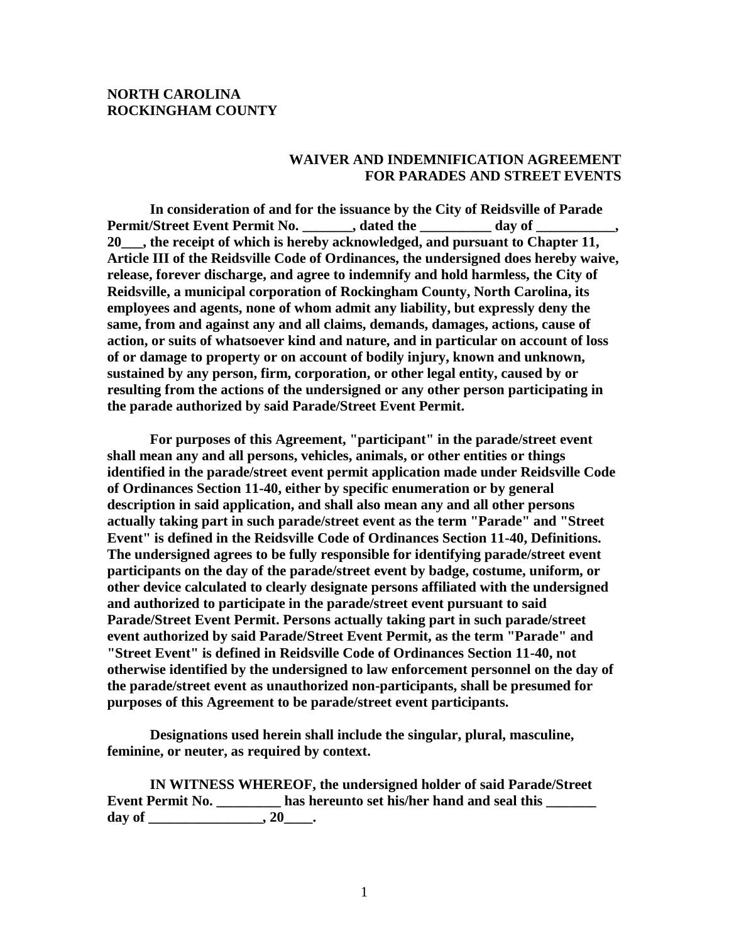## **NORTH CAROLINA ROCKINGHAM COUNTY**

## **WAIVER AND INDEMNIFICATION AGREEMENT FOR PARADES AND STREET EVENTS**

**In consideration of and for the issuance by the City of Reidsville of Parade Permit/Street Event Permit No. \_\_\_\_\_\_\_, dated the \_\_\_\_\_\_\_\_\_\_ day of \_ 20\_\_\_, the receipt of which is hereby acknowledged, and pursuant to Chapter 11, Article III of the Reidsville Code of Ordinances, the undersigned does hereby waive, release, forever discharge, and agree to indemnify and hold harmless, the City of Reidsville, a municipal corporation of Rockingham County, North Carolina, its employees and agents, none of whom admit any liability, but expressly deny the same, from and against any and all claims, demands, damages, actions, cause of action, or suits of whatsoever kind and nature, and in particular on account of loss of or damage to property or on account of bodily injury, known and unknown, sustained by any person, firm, corporation, or other legal entity, caused by or resulting from the actions of the undersigned or any other person participating in the parade authorized by said Parade/Street Event Permit.**

**For purposes of this Agreement, "participant" in the parade/street event shall mean any and all persons, vehicles, animals, or other entities or things identified in the parade/street event permit application made under Reidsville Code of Ordinances Section 11-40, either by specific enumeration or by general description in said application, and shall also mean any and all other persons actually taking part in such parade/street event as the term "Parade" and "Street Event" is defined in the Reidsville Code of Ordinances Section 11-40, Definitions. The undersigned agrees to be fully responsible for identifying parade/street event participants on the day of the parade/street event by badge, costume, uniform, or other device calculated to clearly designate persons affiliated with the undersigned and authorized to participate in the parade/street event pursuant to said Parade/Street Event Permit. Persons actually taking part in such parade/street event authorized by said Parade/Street Event Permit, as the term "Parade" and "Street Event" is defined in Reidsville Code of Ordinances Section 11-40, not otherwise identified by the undersigned to law enforcement personnel on the day of the parade/street event as unauthorized non-participants, shall be presumed for purposes of this Agreement to be parade/street event participants.**

**Designations used herein shall include the singular, plural, masculine, feminine, or neuter, as required by context.**

**IN WITNESS WHEREOF, the undersigned holder of said Parade/Street Event Permit No. \_\_\_\_\_\_\_\_\_ has hereunto set his/her hand and seal this \_\_\_\_\_\_\_**  day of \_\_\_\_\_\_\_\_\_\_\_\_\_\_\_\_, 20\_\_\_\_\_.